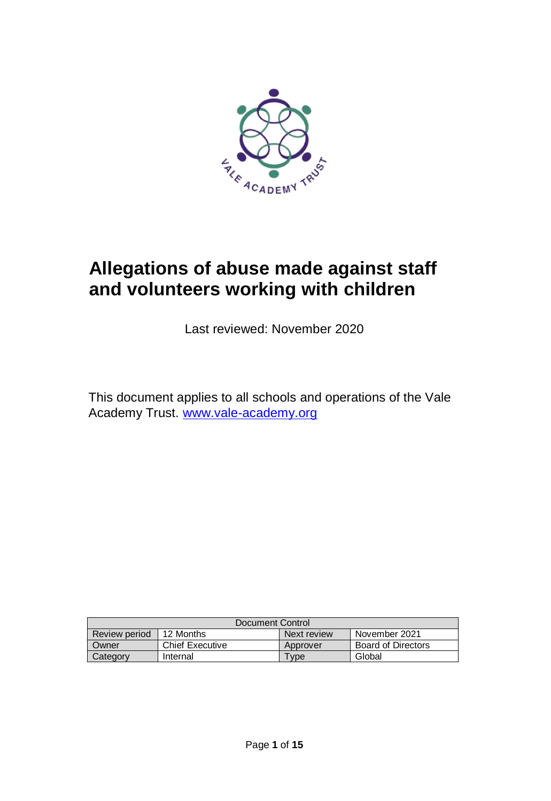

# **Allegations of abuse made against staff and volunteers working with children**

Last reviewed: November 2020

This document applies to all schools and operations of the Vale Academy Trust. [www.vale-academy.org](http://www.vale-academy.org/)

| Document Control |                        |                  |                           |
|------------------|------------------------|------------------|---------------------------|
| Review period    | 12 Months              | Next review      | November 2021             |
| Owner            | <b>Chief Executive</b> | <b>Approver</b>  | <b>Board of Directors</b> |
| Category         | Internal               | vpe <sup>-</sup> | Global                    |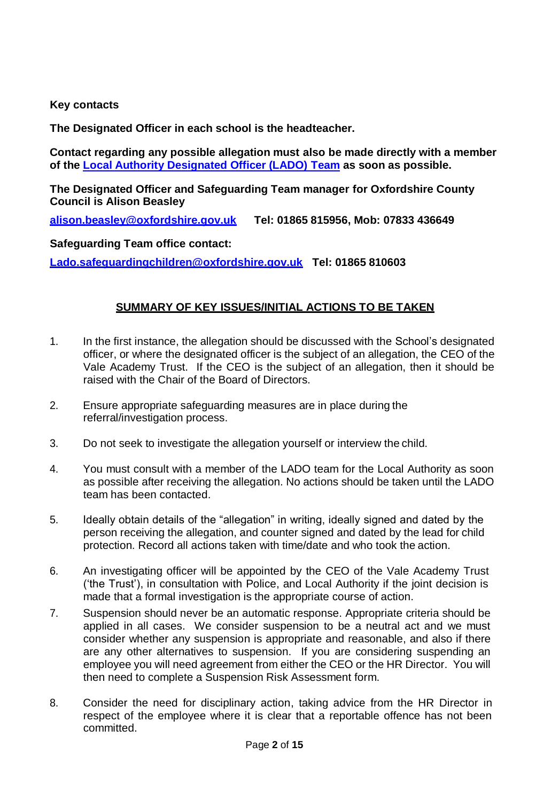#### **Key contacts**

**The Designated Officer in each school is the headteacher.**

**Contact regarding any possible allegation must also be made directly with a member of the [Local Authority Designated Officer \(LADO\)](http://schools.oxfordshire.gov.uk/cms/content/contact-details-lado) Team as soon as possible.**

**The Designated Officer and Safeguarding Team manager for Oxfordshire County Council is Alison Beasley**

**[alison.beasley@oxfordshire.gov.uk](mailto:alison.beasley@oxfordshire.gov.uk) Tel: 01865 815956, Mob: 07833 436649**

**Safeguarding Team office contact:**

**[Lado.safeguardingchildren@oxfordshire.gov.uk](mailto:Lado.safeguardingchildren@oxfordshire.gov.uk) Tel: 01865 810603**

#### **SUMMARY OF KEY ISSUES/INITIAL ACTIONS TO BE TAKEN**

- 1. In the first instance, the allegation should be discussed with the School's designated officer, or where the designated officer is the subject of an allegation, the CEO of the Vale Academy Trust. If the CEO is the subject of an allegation, then it should be raised with the Chair of the Board of Directors.
- 2. Ensure appropriate safeguarding measures are in place during the referral/investigation process.
- 3. Do not seek to investigate the allegation yourself or interview the child.
- 4. You must consult with a member of the LADO team for the Local Authority as soon as possible after receiving the allegation. No actions should be taken until the LADO team has been contacted.
- 5. Ideally obtain details of the "allegation" in writing, ideally signed and dated by the person receiving the allegation, and counter signed and dated by the lead for child protection. Record all actions taken with time/date and who took the action.
- 6. An investigating officer will be appointed by the CEO of the Vale Academy Trust ('the Trust'), in consultation with Police, and Local Authority if the joint decision is made that a formal investigation is the appropriate course of action.
- 7. Suspension should never be an automatic response. Appropriate criteria should be applied in all cases. We consider suspension to be a neutral act and we must consider whether any suspension is appropriate and reasonable, and also if there are any other alternatives to suspension. If you are considering suspending an employee you will need agreement from either the CEO or the HR Director. You will then need to complete a Suspension Risk Assessment form.
- 8. Consider the need for disciplinary action, taking advice from the HR Director in respect of the employee where it is clear that a reportable offence has not been committed.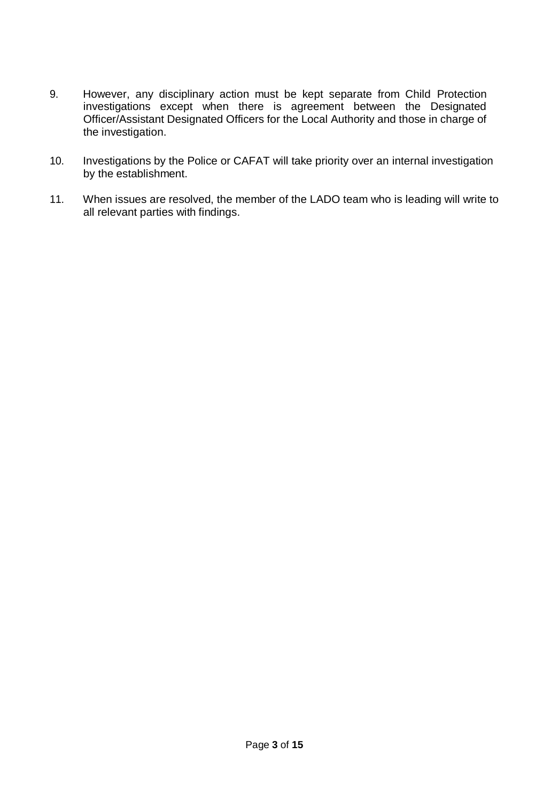- 9. However, any disciplinary action must be kept separate from Child Protection investigations except when there is agreement between the Designated Officer/Assistant Designated Officers for the Local Authority and those in charge of the investigation.
- 10. Investigations by the Police or CAFAT will take priority over an internal investigation by the establishment.
- 11. When issues are resolved, the member of the LADO team who is leading will write to all relevant parties with findings.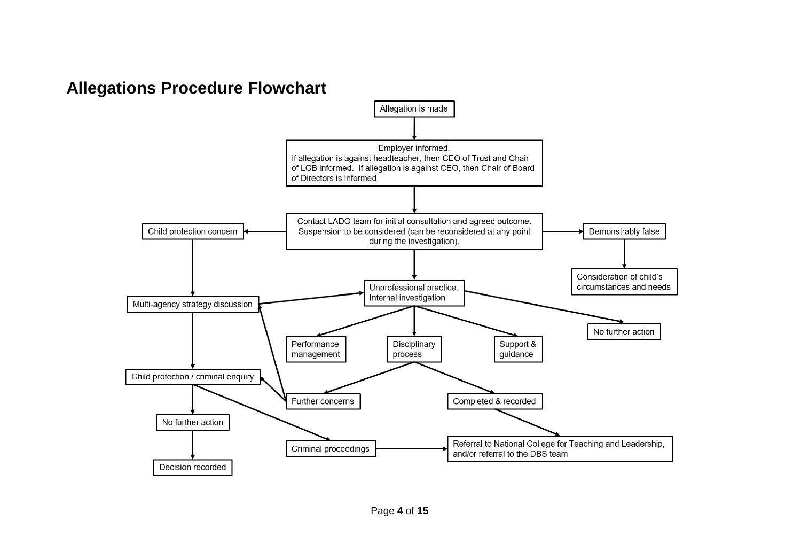## **Allegations Procedure Flowchart**

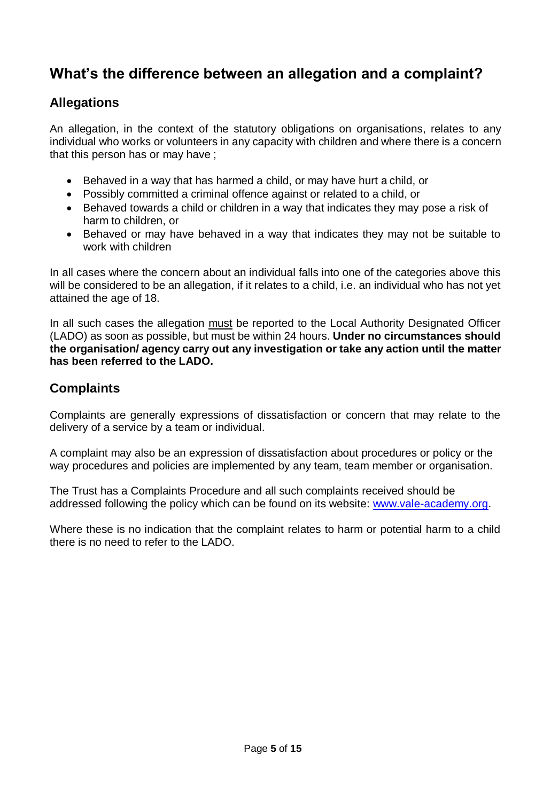## **What's the difference between an allegation and a complaint?**

#### **Allegations**

An allegation, in the context of the statutory obligations on organisations, relates to any individual who works or volunteers in any capacity with children and where there is a concern that this person has or may have ;

- Behaved in a way that has harmed a child, or may have hurt a child, or
- Possibly committed a criminal offence against or related to a child, or
- Behaved towards a child or children in a way that indicates they may pose a risk of harm to children, or
- Behaved or may have behaved in a way that indicates they may not be suitable to work with children

In all cases where the concern about an individual falls into one of the categories above this will be considered to be an allegation, if it relates to a child, i.e. an individual who has not yet attained the age of 18.

In all such cases the allegation must be reported to the Local Authority Designated Officer (LADO) as soon as possible, but must be within 24 hours. **Under no circumstances should the organisation/ agency carry out any investigation or take any action until the matter has been referred to the LADO.**

## **Complaints**

Complaints are generally expressions of dissatisfaction or concern that may relate to the delivery of a service by a team or individual.

A complaint may also be an expression of dissatisfaction about procedures or policy or the way procedures and policies are implemented by any team, team member or organisation.

The Trust has a Complaints Procedure and all such complaints received should be addressed following the policy which can be found on its website: [www.vale-academy.org.](http://www.vale-academy.org/)

Where these is no indication that the complaint relates to harm or potential harm to a child there is no need to refer to the LADO.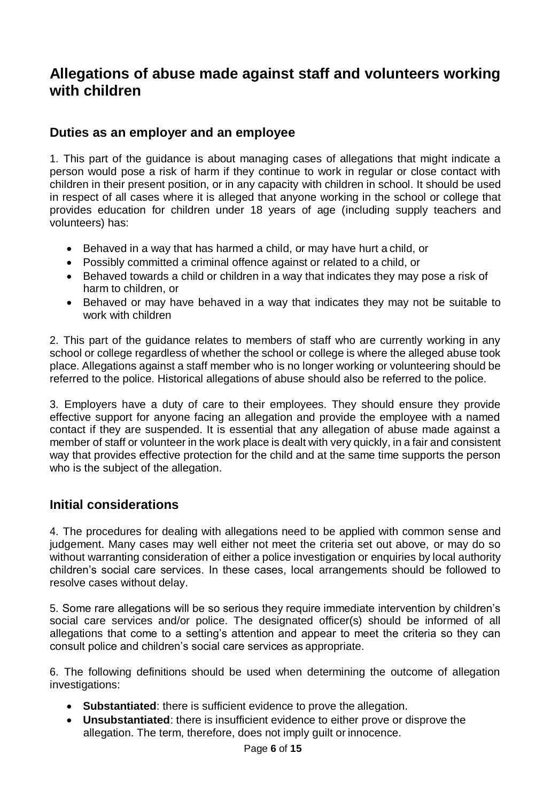## **Allegations of abuse made against staff and volunteers working with children**

#### **Duties as an employer and an employee**

1. This part of the guidance is about managing cases of allegations that might indicate a person would pose a risk of harm if they continue to work in regular or close contact with children in their present position, or in any capacity with children in school. It should be used in respect of all cases where it is alleged that anyone working in the school or college that provides education for children under 18 years of age (including supply teachers and volunteers) has:

- Behaved in a way that has harmed a child, or may have hurt a child, or
- Possibly committed a criminal offence against or related to a child, or
- Behaved towards a child or children in a way that indicates they may pose a risk of harm to children, or
- Behaved or may have behaved in a way that indicates they may not be suitable to work with children

2. This part of the guidance relates to members of staff who are currently working in any school or college regardless of whether the school or college is where the alleged abuse took place. Allegations against a staff member who is no longer working or volunteering should be referred to the police. Historical allegations of abuse should also be referred to the police.

3. Employers have a duty of care to their employees. They should ensure they provide effective support for anyone facing an allegation and provide the employee with a named contact if they are suspended. It is essential that any allegation of abuse made against a member of staff or volunteer in the work place is dealt with very quickly, in a fair and consistent way that provides effective protection for the child and at the same time supports the person who is the subject of the allegation.

#### **Initial considerations**

4. The procedures for dealing with allegations need to be applied with common sense and judgement. Many cases may well either not meet the criteria set out above, or may do so without warranting consideration of either a police investigation or enquiries by local authority children's social care services. In these cases, local arrangements should be followed to resolve cases without delay.

5. Some rare allegations will be so serious they require immediate intervention by children's social care services and/or police. The designated officer(s) should be informed of all allegations that come to a setting's attention and appear to meet the criteria so they can consult police and children's social care services as appropriate.

6. The following definitions should be used when determining the outcome of allegation investigations:

- **Substantiated**: there is sufficient evidence to prove the allegation.
- **Unsubstantiated**: there is insufficient evidence to either prove or disprove the allegation. The term, therefore, does not imply guilt or innocence.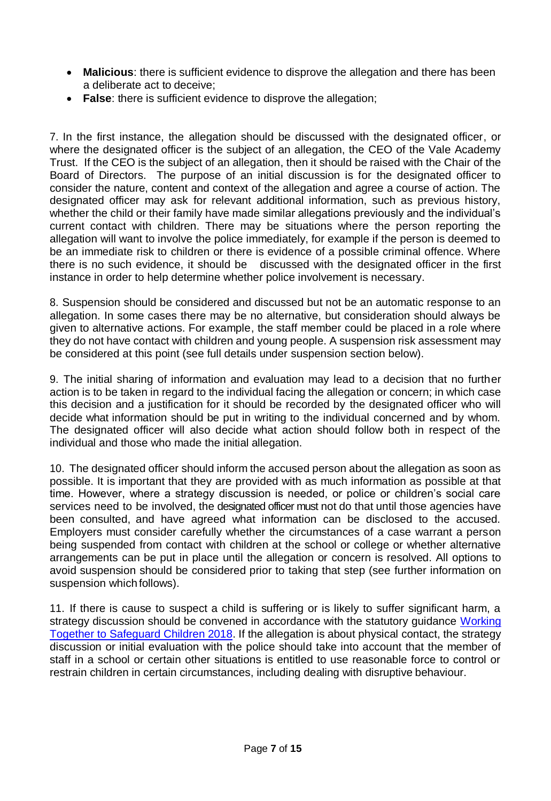- **Malicious**: there is sufficient evidence to disprove the allegation and there has been a deliberate act to deceive;
- **False**: there is sufficient evidence to disprove the allegation;

7. In the first instance, the allegation should be discussed with the designated officer, or where the designated officer is the subject of an allegation, the CEO of the Vale Academy Trust. If the CEO is the subject of an allegation, then it should be raised with the Chair of the Board of Directors. The purpose of an initial discussion is for the designated officer to consider the nature, content and context of the allegation and agree a course of action. The designated officer may ask for relevant additional information, such as previous history, whether the child or their family have made similar allegations previously and the individual's current contact with children. There may be situations where the person reporting the allegation will want to involve the police immediately, for example if the person is deemed to be an immediate risk to children or there is evidence of a possible criminal offence. Where there is no such evidence, it should be discussed with the designated officer in the first instance in order to help determine whether police involvement is necessary.

8. Suspension should be considered and discussed but not be an automatic response to an allegation. In some cases there may be no alternative, but consideration should always be given to alternative actions. For example, the staff member could be placed in a role where they do not have contact with children and young people. A suspension risk assessment may be considered at this point (see full details under suspension section below).

9. The initial sharing of information and evaluation may lead to a decision that no further action is to be taken in regard to the individual facing the allegation or concern; in which case this decision and a justification for it should be recorded by the designated officer who will decide what information should be put in writing to the individual concerned and by whom. The designated officer will also decide what action should follow both in respect of the individual and those who made the initial allegation.

10. The designated officer should inform the accused person about the allegation as soon as possible. It is important that they are provided with as much information as possible at that time. However, where a strategy discussion is needed, or police or children's social care services need to be involved, the designated officer must not do that until those agencies have been consulted, and have agreed what information can be disclosed to the accused. Employers must consider carefully whether the circumstances of a case warrant a person being suspended from contact with children at the school or college or whether alternative arrangements can be put in place until the allegation or concern is resolved. All options to avoid suspension should be considered prior to taking that step (see further information on suspension which follows).

11. If there is cause to suspect a child is suffering or is likely to suffer significant harm, a strategy discussion should be convened in accordance with the statutory guidance Working Together to [Safeguard](https://www.gov.uk/government/publications/working-together-to-safeguard-children--2) Children 2018. If the allegation is about physical contact, the strategy discussion or initial evaluation with the police should take into account that the member of staff in a school or certain other situations is entitled to use reasonable force to control or restrain children in certain circumstances, including dealing with disruptive behaviour.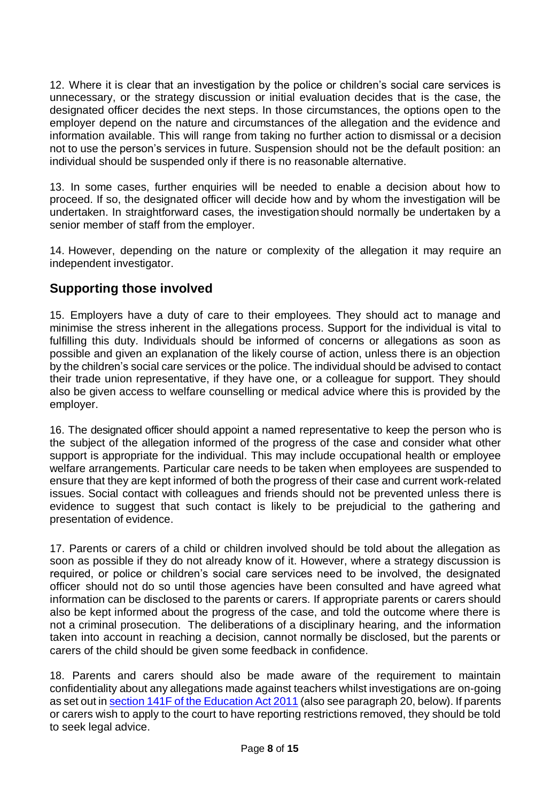12. Where it is clear that an investigation by the police or children's social care services is unnecessary, or the strategy discussion or initial evaluation decides that is the case, the designated officer decides the next steps. In those circumstances, the options open to the employer depend on the nature and circumstances of the allegation and the evidence and information available. This will range from taking no further action to dismissal or a decision not to use the person's services in future. Suspension should not be the default position: an individual should be suspended only if there is no reasonable alternative.

13. In some cases, further enquiries will be needed to enable a decision about how to proceed. If so, the designated officer will decide how and by whom the investigation will be undertaken. In straightforward cases, the investigation should normally be undertaken by a senior member of staff from the employer.

14. However, depending on the nature or complexity of the allegation it may require an independent investigator.

## **Supporting those involved**

15. Employers have a duty of care to their employees. They should act to manage and minimise the stress inherent in the allegations process. Support for the individual is vital to fulfilling this duty. Individuals should be informed of concerns or allegations as soon as possible and given an explanation of the likely course of action, unless there is an objection by the children's social care services or the police. The individual should be advised to contact their trade union representative, if they have one, or a colleague for support. They should also be given access to welfare counselling or medical advice where this is provided by the employer.

16. The designated officer should appoint a named representative to keep the person who is the subject of the allegation informed of the progress of the case and consider what other support is appropriate for the individual. This may include occupational health or employee welfare arrangements. Particular care needs to be taken when employees are suspended to ensure that they are kept informed of both the progress of their case and current work-related issues. Social contact with colleagues and friends should not be prevented unless there is evidence to suggest that such contact is likely to be prejudicial to the gathering and presentation of evidence.

17. Parents or carers of a child or children involved should be told about the allegation as soon as possible if they do not already know of it. However, where a strategy discussion is required, or police or children's social care services need to be involved, the designated officer should not do so until those agencies have been consulted and have agreed what information can be disclosed to the parents or carers. If appropriate parents or carers should also be kept informed about the progress of the case, and told the outcome where there is not a criminal prosecution. The deliberations of a disciplinary hearing, and the information taken into account in reaching a decision, cannot normally be disclosed, but the parents or carers of the child should be given some feedback in confidence.

18. Parents and carers should also be made aware of the requirement to maintain confidentiality about any allegations made against teachers whilst investigations are on-going as set out in section 141F of the [Education](http://www.legislation.gov.uk/ukpga/2011/21/section/13/enacted) Act 2011 (also see paragraph 20, below). If parents or carers wish to apply to the court to have reporting restrictions removed, they should be told to seek legal advice.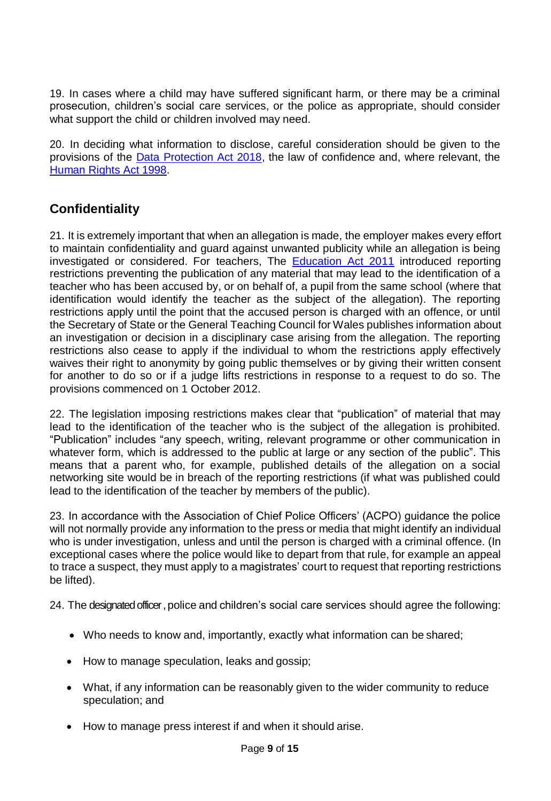19. In cases where a child may have suffered significant harm, or there may be a criminal prosecution, children's social care services, or the police as appropriate, should consider what support the child or children involved may need.

20. In deciding what information to disclose, careful consideration should be given to the provisions of the [Data Protection Act 2018,](http://www.legislation.gov.uk/ukpga/2018/12/contents/enacted) the law of confidence and, where relevant, the [Human Rights Act](https://www.legislation.gov.uk/ukpga/1998/42/contents) 1998.

## **Confidentiality**

21. It is extremely important that when an allegation is made, the employer makes every effort to maintain confidentiality and guard against unwanted publicity while an allegation is being investigated or considered. For teachers, The **[Education Act 2011](http://www.legislation.gov.uk/ukpga/2011/21/section/13/enacted)** introduced reporting restrictions preventing the publication of any material that may lead to the identification of a teacher who has been accused by, or on behalf of, a pupil from the same school (where that identification would identify the teacher as the subject of the allegation). The reporting restrictions apply until the point that the accused person is charged with an offence, or until the Secretary of State or the General Teaching Council for Wales publishes information about an investigation or decision in a disciplinary case arising from the allegation. The reporting restrictions also cease to apply if the individual to whom the restrictions apply effectively waives their right to anonymity by going public themselves or by giving their written consent for another to do so or if a judge lifts restrictions in response to a request to do so. The provisions commenced on 1 October 2012.

22. The legislation imposing restrictions makes clear that "publication" of material that may lead to the identification of the teacher who is the subject of the allegation is prohibited. "Publication" includes "any speech, writing, relevant programme or other communication in whatever form, which is addressed to the public at large or any section of the public". This means that a parent who, for example, published details of the allegation on a social networking site would be in breach of the reporting restrictions (if what was published could lead to the identification of the teacher by members of the public).

23. In accordance with the Association of Chief Police Officers' (ACPO) guidance the police will not normally provide any information to the press or media that might identify an individual who is under investigation, unless and until the person is charged with a criminal offence. (In exceptional cases where the police would like to depart from that rule, for example an appeal to trace a suspect, they must apply to a magistrates' court to request that reporting restrictions be lifted).

24. The designated officer, police and children's social care services should agree the following:

- Who needs to know and, importantly, exactly what information can be shared;
- How to manage speculation, leaks and gossip;
- What, if any information can be reasonably given to the wider community to reduce speculation; and
- How to manage press interest if and when it should arise.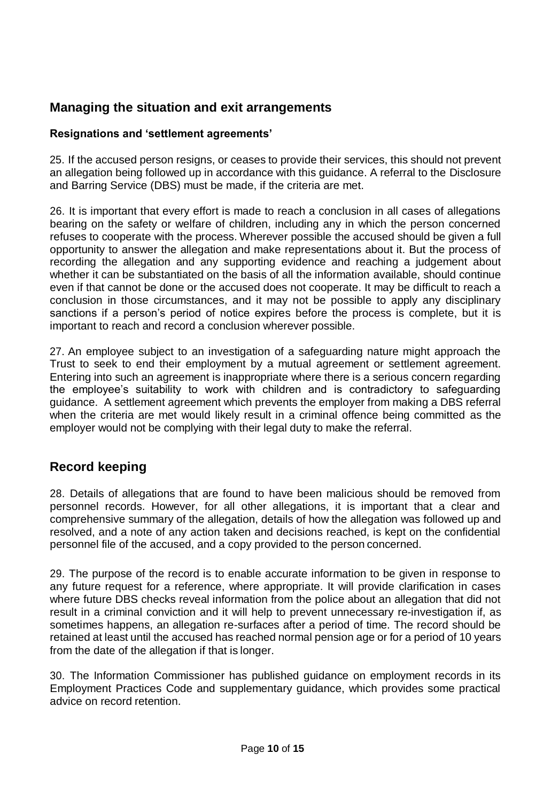## **Managing the situation and exit arrangements**

#### **Resignations and 'settlement agreements'**

25. If the accused person resigns, or ceases to provide their services, this should not prevent an allegation being followed up in accordance with this guidance. A referral to the Disclosure and Barring Service (DBS) must be made, if the criteria are met.

26. It is important that every effort is made to reach a conclusion in all cases of allegations bearing on the safety or welfare of children, including any in which the person concerned refuses to cooperate with the process. Wherever possible the accused should be given a full opportunity to answer the allegation and make representations about it. But the process of recording the allegation and any supporting evidence and reaching a judgement about whether it can be substantiated on the basis of all the information available, should continue even if that cannot be done or the accused does not cooperate. It may be difficult to reach a conclusion in those circumstances, and it may not be possible to apply any disciplinary sanctions if a person's period of notice expires before the process is complete, but it is important to reach and record a conclusion wherever possible.

27. An employee subject to an investigation of a safeguarding nature might approach the Trust to seek to end their employment by a mutual agreement or settlement agreement. Entering into such an agreement is inappropriate where there is a serious concern regarding the employee's suitability to work with children and is contradictory to safeguarding guidance. A settlement agreement which prevents the employer from making a DBS referral when the criteria are met would likely result in a criminal offence being committed as the employer would not be complying with their legal duty to make the referral.

## **Record keeping**

28. Details of allegations that are found to have been malicious should be removed from personnel records. However, for all other allegations, it is important that a clear and comprehensive summary of the allegation, details of how the allegation was followed up and resolved, and a note of any action taken and decisions reached, is kept on the confidential personnel file of the accused, and a copy provided to the person concerned.

29. The purpose of the record is to enable accurate information to be given in response to any future request for a reference, where appropriate. It will provide clarification in cases where future DBS checks reveal information from the police about an allegation that did not result in a criminal conviction and it will help to prevent unnecessary re-investigation if, as sometimes happens, an allegation re-surfaces after a period of time. The record should be retained at least until the accused has reached normal pension age or for a period of 10 years from the date of the allegation if that is longer.

30. The Information Commissioner has published guidance on employment records in its Employment Practices Code and supplementary guidance, which provides some practical advice on record retention.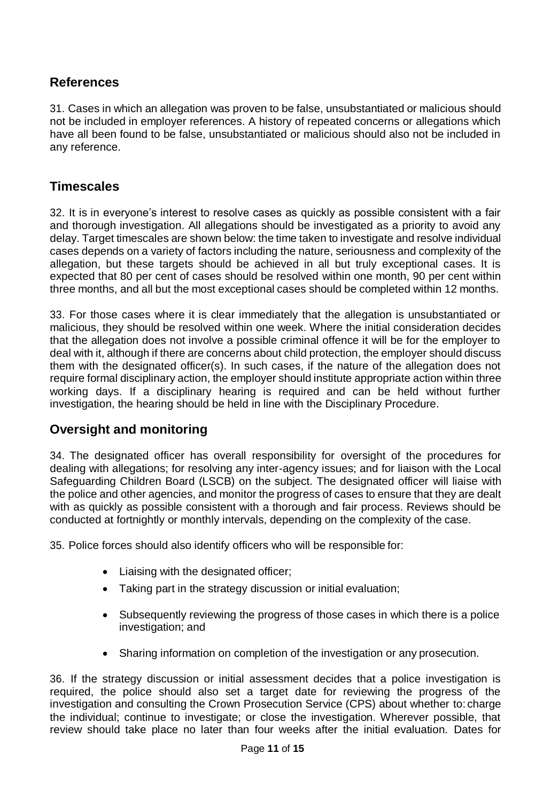#### **References**

31. Cases in which an allegation was proven to be false, unsubstantiated or malicious should not be included in employer references. A history of repeated concerns or allegations which have all been found to be false, unsubstantiated or malicious should also not be included in any reference.

#### **Timescales**

32. It is in everyone's interest to resolve cases as quickly as possible consistent with a fair and thorough investigation. All allegations should be investigated as a priority to avoid any delay. Target timescales are shown below: the time taken to investigate and resolve individual cases depends on a variety of factors including the nature, seriousness and complexity of the allegation, but these targets should be achieved in all but truly exceptional cases. It is expected that 80 per cent of cases should be resolved within one month, 90 per cent within three months, and all but the most exceptional cases should be completed within 12 months.

33. For those cases where it is clear immediately that the allegation is unsubstantiated or malicious, they should be resolved within one week. Where the initial consideration decides that the allegation does not involve a possible criminal offence it will be for the employer to deal with it, although if there are concerns about child protection, the employer should discuss them with the designated officer(s). In such cases, if the nature of the allegation does not require formal disciplinary action, the employer should institute appropriate action within three working days. If a disciplinary hearing is required and can be held without further investigation, the hearing should be held in line with the Disciplinary Procedure.

## **Oversight and monitoring**

34. The designated officer has overall responsibility for oversight of the procedures for dealing with allegations; for resolving any inter-agency issues; and for liaison with the Local Safeguarding Children Board (LSCB) on the subject. The designated officer will liaise with the police and other agencies, and monitor the progress of cases to ensure that they are dealt with as quickly as possible consistent with a thorough and fair process. Reviews should be conducted at fortnightly or monthly intervals, depending on the complexity of the case.

35. Police forces should also identify officers who will be responsible for:

- Liaising with the designated officer;
- Taking part in the strategy discussion or initial evaluation;
- Subsequently reviewing the progress of those cases in which there is a police investigation; and
- Sharing information on completion of the investigation or any prosecution.

36. If the strategy discussion or initial assessment decides that a police investigation is required, the police should also set a target date for reviewing the progress of the investigation and consulting the Crown Prosecution Service (CPS) about whether to: charge the individual; continue to investigate; or close the investigation. Wherever possible, that review should take place no later than four weeks after the initial evaluation. Dates for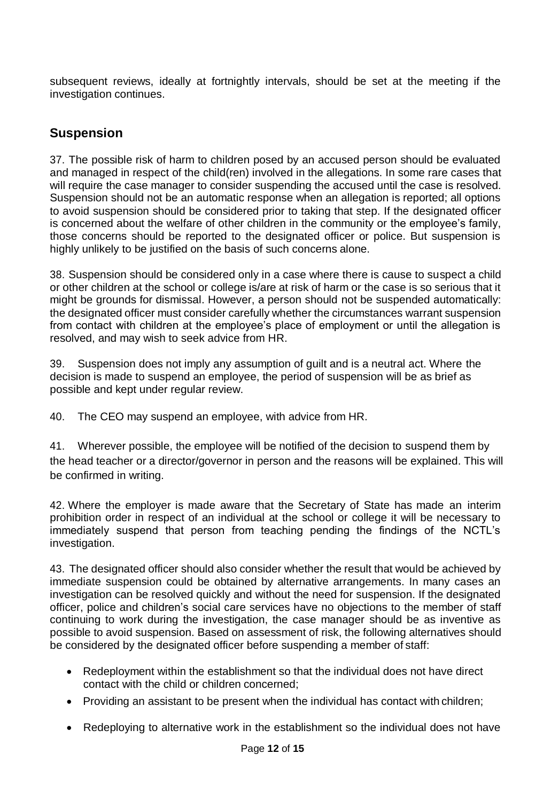subsequent reviews, ideally at fortnightly intervals, should be set at the meeting if the investigation continues.

## **Suspension**

37. The possible risk of harm to children posed by an accused person should be evaluated and managed in respect of the child(ren) involved in the allegations. In some rare cases that will require the case manager to consider suspending the accused until the case is resolved. Suspension should not be an automatic response when an allegation is reported; all options to avoid suspension should be considered prior to taking that step. If the designated officer is concerned about the welfare of other children in the community or the employee's family, those concerns should be reported to the designated officer or police. But suspension is highly unlikely to be justified on the basis of such concerns alone.

38. Suspension should be considered only in a case where there is cause to suspect a child or other children at the school or college is/are at risk of harm or the case is so serious that it might be grounds for dismissal. However, a person should not be suspended automatically: the designated officer must consider carefully whether the circumstances warrant suspension from contact with children at the employee's place of employment or until the allegation is resolved, and may wish to seek advice from HR.

39. Suspension does not imply any assumption of guilt and is a neutral act. Where the decision is made to suspend an employee, the period of suspension will be as brief as possible and kept under regular review.

40. The CEO may suspend an employee, with advice from HR.

41. Wherever possible, the employee will be notified of the decision to suspend them by the head teacher or a director/governor in person and the reasons will be explained. This will be confirmed in writing.

42. Where the employer is made aware that the Secretary of State has made an interim prohibition order in respect of an individual at the school or college it will be necessary to immediately suspend that person from teaching pending the findings of the NCTL's investigation.

43. The designated officer should also consider whether the result that would be achieved by immediate suspension could be obtained by alternative arrangements. In many cases an investigation can be resolved quickly and without the need for suspension. If the designated officer, police and children's social care services have no objections to the member of staff continuing to work during the investigation, the case manager should be as inventive as possible to avoid suspension. Based on assessment of risk, the following alternatives should be considered by the designated officer before suspending a member of staff:

- Redeployment within the establishment so that the individual does not have direct contact with the child or children concerned;
- Providing an assistant to be present when the individual has contact with children;
- Redeploying to alternative work in the establishment so the individual does not have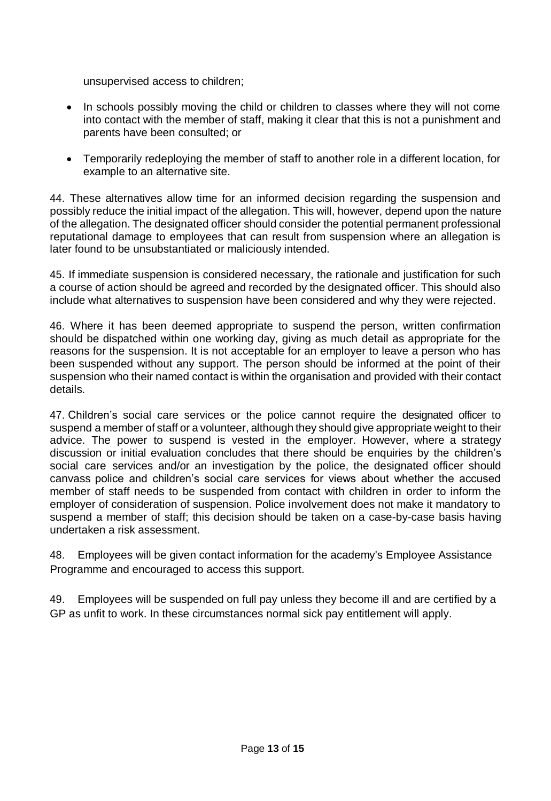unsupervised access to children;

- In schools possibly moving the child or children to classes where they will not come into contact with the member of staff, making it clear that this is not a punishment and parents have been consulted; or
- Temporarily redeploying the member of staff to another role in a different location, for example to an alternative site.

44. These alternatives allow time for an informed decision regarding the suspension and possibly reduce the initial impact of the allegation. This will, however, depend upon the nature of the allegation. The designated officer should consider the potential permanent professional reputational damage to employees that can result from suspension where an allegation is later found to be unsubstantiated or maliciously intended.

45. If immediate suspension is considered necessary, the rationale and justification for such a course of action should be agreed and recorded by the designated officer. This should also include what alternatives to suspension have been considered and why they were rejected.

46. Where it has been deemed appropriate to suspend the person, written confirmation should be dispatched within one working day, giving as much detail as appropriate for the reasons for the suspension. It is not acceptable for an employer to leave a person who has been suspended without any support. The person should be informed at the point of their suspension who their named contact is within the organisation and provided with their contact details.

47. Children's social care services or the police cannot require the designated officer to suspend a member of staff or a volunteer, although they should give appropriate weight to their advice. The power to suspend is vested in the employer. However, where a strategy discussion or initial evaluation concludes that there should be enquiries by the children's social care services and/or an investigation by the police, the designated officer should canvass police and children's social care services for views about whether the accused member of staff needs to be suspended from contact with children in order to inform the employer of consideration of suspension. Police involvement does not make it mandatory to suspend a member of staff; this decision should be taken on a case-by-case basis having undertaken a risk assessment.

48. Employees will be given contact information for the academy's Employee Assistance Programme and encouraged to access this support.

49. Employees will be suspended on full pay unless they become ill and are certified by a GP as unfit to work. In these circumstances normal sick pay entitlement will apply.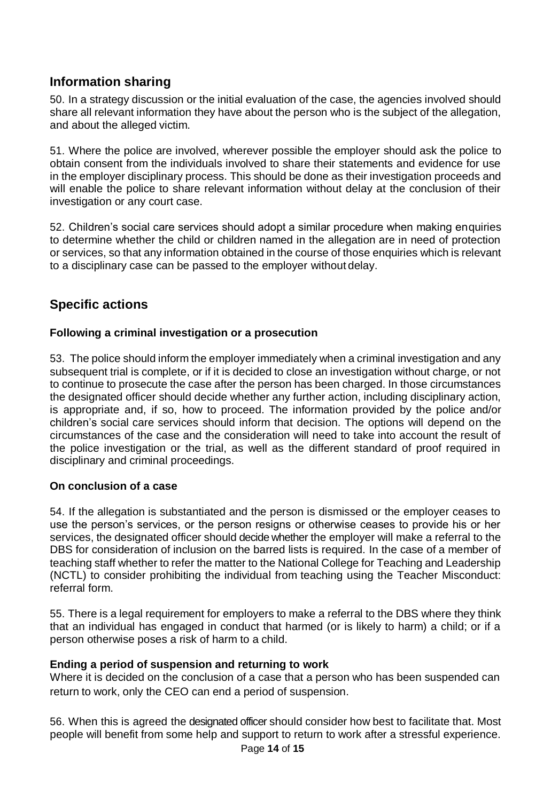## **Information sharing**

50. In a strategy discussion or the initial evaluation of the case, the agencies involved should share all relevant information they have about the person who is the subject of the allegation, and about the alleged victim.

51. Where the police are involved, wherever possible the employer should ask the police to obtain consent from the individuals involved to share their statements and evidence for use in the employer disciplinary process. This should be done as their investigation proceeds and will enable the police to share relevant information without delay at the conclusion of their investigation or any court case.

52. Children's social care services should adopt a similar procedure when making enquiries to determine whether the child or children named in the allegation are in need of protection or services, so that any information obtained in the course of those enquiries which is relevant to a disciplinary case can be passed to the employer without delay.

## **Specific actions**

#### **Following a criminal investigation or a prosecution**

53. The police should inform the employer immediately when a criminal investigation and any subsequent trial is complete, or if it is decided to close an investigation without charge, or not to continue to prosecute the case after the person has been charged. In those circumstances the designated officer should decide whether any further action, including disciplinary action, is appropriate and, if so, how to proceed. The information provided by the police and/or children's social care services should inform that decision. The options will depend on the circumstances of the case and the consideration will need to take into account the result of the police investigation or the trial, as well as the different standard of proof required in disciplinary and criminal proceedings.

#### **On conclusion of a case**

54. If the allegation is substantiated and the person is dismissed or the employer ceases to use the person's services, or the person resigns or otherwise ceases to provide his or her services, the designated officer should decide whether the employer will make a referral to the DBS for consideration of inclusion on the barred lists is required. In the case of a member of teaching staff whether to refer the matter to the National College for Teaching and Leadership (NCTL) to consider prohibiting the individual from teaching using the Teacher Misconduct: referral form.

55. There is a legal requirement for employers to make a referral to the DBS where they think that an individual has engaged in conduct that harmed (or is likely to harm) a child; or if a person otherwise poses a risk of harm to a child.

#### **Ending a period of suspension and returning to work**

Where it is decided on the conclusion of a case that a person who has been suspended can return to work, only the CEO can end a period of suspension.

56. When this is agreed the designated officer should consider how best to facilitate that. Most people will benefit from some help and support to return to work after a stressful experience.